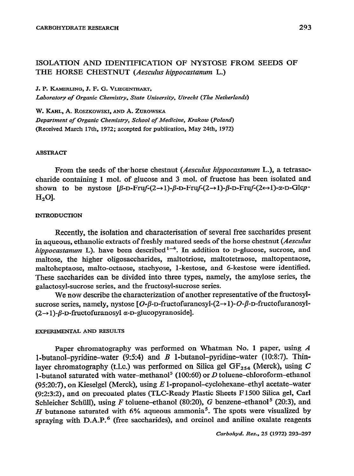# ISOLATION AND IDENTIFICATION OF NYSTOSE FROM SEEDS OF THE HORSE CHESTNUT (Aesculus hippocastanum L.)

**J. P. KAMERLING, J. F. G. VLIEGENTHART,** *Laboratory of Organic Chemistry, State Uniuersity, Utrecht (The Netherlands)* 

W. KAHL, A. ROSZKOWSKI, AND A. ZUROWSKA *Department of Organic Chemistry, School of Medicine, Krakow (Poland)*  **(Received March 17th, 1972; accepted for publication, May 23th, 1972)** 

## ABSTRACT

From the seeds of the-horse chestnut *(Aesculus hippocastanm* L.), a tetrasaccharide containing 1 mol. of glucose and 3 **mol. of fructose has been isolated and**  shown to be nystose  $\beta$ -D-Fruf- $(2 \rightarrow 1)$ - $\beta$ -D-Fruf- $(2 \rightarrow 1)$ - $\beta$ -D-Fruf- $(2 \rightarrow 1)$ - $\alpha$ -D-Glcp **H**<sub>2</sub>O].

#### **INTRODUCTION**

Recently, the isolation and characterisation of several free saccharides present in aqueous, ethanolic extracts of freshly matured seeds of the horse chestnut (Aesculus *hippocastanum* L), have been described<sup>1-4</sup>. In addition to D-glucose, sucrose, and maltose, the higher oligosaccharides, maltotriose, maltotetraose, maltopentaose, maltoheptaose, malto-octaose, stachyose, I-kestose, and 6-kestose were identified. These saccharides can be divided into three types, namely, the amylose series, the galactosyl-sucrose series, and the fructosyl-sucrose series.

We now describe the characterization of another representative of the fructosylsucrose series, namely, nystose  $[O-\beta-D$ -fructofuranosyl- $(2\rightarrow 1)-O-\beta-D$ -fructofuranosyl- $(2\rightarrow 1)$ - $\beta$ -D-fructofuranosyl  $\alpha$ -D-glucopyranoside].

# **EXPERIMENTAL AND RESULTS**

Paper chromatography was performed on Whatman No. 1 paper, using *A*  1-butanol-pyridine-water  $(9:5:4)$  and B 1-butanol-pyridine-water (10:8:7). Thinlayer chromatography (t.l.c.) was performed on Silica gel  $GF_{254}$  (Merck), using C 1-butanol saturated with water-methanol<sup>5</sup> (100:60) or D toluene-chloroform-ethanol (95:20:7), on Kieselgel (Merck), using *E* l-propanol-cyclohexane-ethyl acetate-water (9:2:3:2), and on precoated plates (TLC-Ready Plastic Sheets F 1500 Silica gel, Carl Schleicher Schüll), using F toluene-ethanol (80:20), G benzene-ethanol<sup>5</sup> (20:3), and *H* butanone saturated with 6% aqueous ammonia<sup>5</sup>. The spots were visualized by spraying with  $D.A.P.$ <sup>6</sup> (free saccharides), and orcinol and aniline oxalate reagents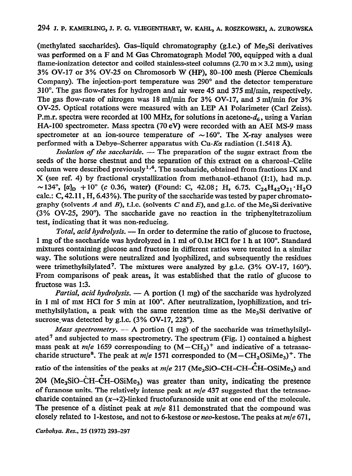(methylated saccharides). Gas-liquid chromatography (g.l.c.) of Me<sub>3</sub>Si derivatives was performed on a F and M Gas Chromatograph Model 700, equipped with a dual flame-ionization detector and coiled stainless-steel columns (2.70 m $\times$  3.2 mm), using 3% OV-17 or 3% OV-25 on Chromosorb W (HP), SO-100 mesh (Pierce Chemicals Company). The injection-port temperature was 290" and the detector temperature  $310^\circ$ . The gas flow-rates for hydrogen and air were 45 and 375 ml/min, respectively. The gas flow-rate of nitrogen was 18 ml/min for 3% OV-17, and 5 ml/min for 3% OV-25. Optical rotations were measured with an LEP Al Polarimeter (Carl Zeiss). P.m.r. spectra were recorded at 100 MHz, for solutions in acetone- $d<sub>6</sub>$ , using a Varian HA-100 spectrometer. Mass spectra (70 eV) were recorded with an AFT MS-9 mass spectrometer at an ion-source temperature of  $\sim 160^{\circ}$ . The X-ray analyses were performed with a Debye-Scherrer apparatus with Cu-K $\alpha$  radiation (1.5418 Å).

*Isolation of the saccharide. -* The preparation of the sugar extract from the seeds of the horse chestnut and the separation of this extract on a charcoal-Celite column were described previously<sup>1,4</sup>. The saccharide, obtained from fractions IX and X (see ref. 4) by fractional crystallization from methanol-ethanol (l:l), had m.p. ~134°,  $[\alpha]_D$  + 10° (c 0.36, water) (Found: C, 42.08; H, 6.75. C<sub>24</sub>H<sub>42</sub>O<sub>21</sub>.H<sub>2</sub>O calc.:  $C$ , 42.11,  $H$ , 6.43%). The purity of the saccharide was tested by paper chromatography (solvents A and B), t.l.c. (solvents C and E), and g.l.c. of the Me<sub>3</sub>Si derivative (3% OV-25, 290"). The saccharide gave no reaction in the triphenyltetrazolium test, indicating that it was non-reducing.

Total, *acid hydrolysis. -* In order to determine the ratio of glucose to fructose, 1 mg of the saccharide was hydrolyzed in 1 ml of 0.1M HCl for 1 h at 100°. Standard mixtures containing glucose and fructose in different ratios were treated in a similar way. The solutions were neutralized and lyophilized, and subsequently the residues were trimethylsilylated<sup>7</sup>. The mixtures were analyzed by g.l.c.  $(3\% \text{ OV-17}, 160^\circ)$ . From comparisons of peak areas, it was established that the ratio of glucose to fructose was 1:3.

*Partial, acid hydrolysis.* — A portion (1 mg) of the saccharide was hydrolyzed in 1 ml of mu HCl for 5 min at 100". After neutralization, lyophilization, and trimethylsilylation, a peak with the same retention time as the Me<sub>3</sub>Si derivative of sucrose was detected by g.l.c.  $(3\% \text{ OV-17}, 228^\circ)$ .

*Mass spectrometry.*  $- A$  portion (1 mg) of the saccharide was trimethylsilylated<sup>7</sup> and subjected to mass spectrometry. The spectrum (Fig. 1) contained a highest mass peak at  $m/e$  1659 corresponding to  $(M-CH_3)^+$  and indicative of a tetrasaccharide structure<sup>8</sup>. The peak at *m/e* 1571 corresponded to  $(M-CH<sub>2</sub>OSiMe<sub>3</sub>)<sup>+</sup>$ . The ratio of the intensities of the peaks at *m/e* 217 (Me<sub>3</sub>SiO–CH=CH–CH–OSiMe<sub>3</sub>) and  $204$  (Me<sub>3</sub>SiO-CH-CH-OSiMe<sub>3</sub>) was greater than unity, indicating the presence of furanose units. The relatively intense peak at *m/e* 437 suggested that the tetrasaccharide contained an  $(x \rightarrow 2)$ -linked fructofuranoside unit at one end of the molecule. The presence of a distinct peak at *m/e* 811 demonstrated that the compound was closely related to I-kestose, and not to 6-kestose or **neo-kestose.** The peaks at *m/e* 671,

Carbohya. Res., 25 (1972) 293-297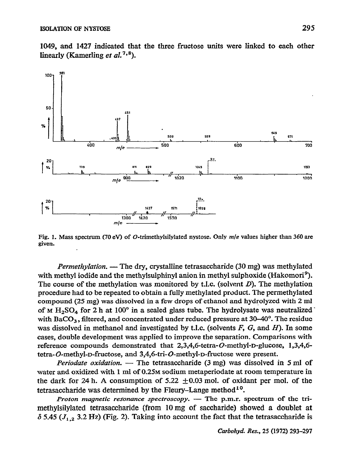1049, and 1427 indicated that the three fructose units were linked to each other linearly (Kamerling et  $al.^{7,8}$ ).



Fig. 1. Mass spectrum (70 ev) of 0-trimethylsilylated nystose. Only *m/z values* **higher than 360 are given.** 

*Permethylation.* - The dry, crystalline tetrasaccharide (30 mg) was methylated with methyl iodide and the methylsuiphinyl anion in methyl sulphoxide (Hakomori<sup>9</sup>). The course of the methylation was monitored by t.l.c. (solvent  $D$ ). The methylation procedure had to be repeated to obtain a fully methylated product. The permethylated **compound** *(25* **mg) was dissolved in a few drops of ethanol and hydrolyzed with** *2 ml*  of M H<sub>2</sub>SO<sub>4</sub> for 2 h at 100° in a sealed glass tube. The hydrolysate was neutralized with BaCO<sub>3</sub>, filtered, and concentrated under reduced pressure at  $30-40^{\circ}$ . The residue was dissolved in methanol and investigated by t.l.c. (solvents  $F$ ,  $G$ , and  $H$ ). In some cases, double development was applied to improve the separation. Comparisons with **reference compounds demonstrated that 2,3,4,6-tetra-O-methyl-D-glucose, 1,3,4,6**  tetra-O-methyl-p-fructose, and 3,4,6-tri-O-methyl-p-fructose were present.

*Periodate oxidation.* — The tetrasaccharide (3 mg) was dissolved in 5 ml of **water and oxidized with 1 ml of 0.25M sodium metaperiodate at room temperature in**  the dark for 24 h. A consumption of  $5.22 \pm 0.03$  mol. of oxidant per mol. of the tetrasaccharide was determined by the Fleury-Lange method<sup>10</sup>.

*Proton magnetic resonance spectroscopy.* - The p.m.r. spectrum of the trimethylsilylated tetrasaccharide (from 10 mg of saccharide) showed a doublet at  $\delta$  5.45 ( $J_{1,2}$  3.2 Hz) (Fig. 2). Taking into account the fact that the tetrasaccharide is

*Carbohyd. Res., 25* **(1972) 293-297**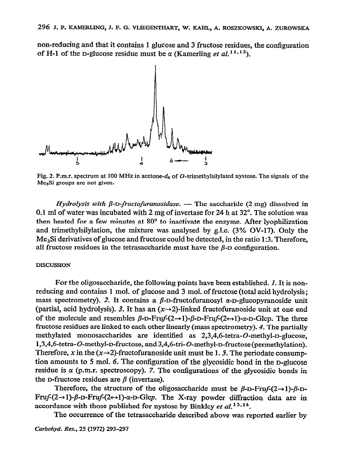non-reducing and that it contains 1 glucose and 3 fructose residues, the configuration of H-1 of the D-glucose residue must be  $\alpha$  (Kamerling *et al.*<sup>11,12</sup>).



Fig. 2. P.m.r. spectrum at 100 MHz in acetone-d<sub>6</sub> of O-trimethylsilylated nystose. The signals of the Me<sub>3</sub>Si groups are not given.

 $Hydrolysis$  with  $\beta$ -D-fructofuranosidase. - The saccharide (2 mg) dissolved in 0.1 ml of water was incubated with 2 mg of invertase for 24 h at 32". The solution was then heated for a few minutes at 80" to inactivate the enzyme. After lyophilization and trimethylsilylation, the mixture was analysed by g.1.c. (3% OV-17). Only the  $Me<sub>3</sub>Si derivatives of glucose and fructose could be detected, in the ratio 1:3. Therefore,  $Q = mc^2$$ all fructose residues in the tetrasaccharide must have the  $\beta$ -D configuration.

### **DISCUSSION**

For the oligosaccharide, the following points have been established. 1. It is nonreducing and contains 1 mol. of glucose and 3 mol. of fructose (total acid hydrolysis; mass spectrometry). 2. It contains a  $\beta$ -D-fructofuranosyl  $\alpha$ -D-glucopyranoside unit (partial, acid hydrolysis). 3. It has an  $(x \rightarrow 2)$ -linked fructofuranoside unit at one end of the molecule and resembles  $\beta$ -D-Fruf- $(2 \rightarrow 1)$ - $\beta$ -D-Fruf- $(2 \rightarrow 1)$ - $\alpha$ -D-Glcp. The three fructose residues are linked to each other linearly (mass spectrometry). 4. The partially methylated monosaccharides are identified as 2,3,4,6-tetra-O-methyl-D-glucose, 1,3,4,6-tetra-O-methyl-D-fructose, and3,4,6-tri-O-methyl-D-fructose(permethylation). Therefore, x in the  $(x\rightarrow 2)$ -fructofuranoside unit must be 1.5. The periodate consumption amounts to 5 mol. 6. The configuration of the glycosidic bond in the D-glucose residue is  $\alpha$  (p.m.r. spectroscopy). 7. The configurations of the glycosidic bonds in the D-fructose residues are  $\beta$  (invertase).

Therefore, the structure of the oligosaccharide must be  $\beta$ -D-Fru $f$ - $(2\rightarrow 1)$ - $\beta$ -D-Fruf- $(2\rightarrow 1)$ - $\beta$ -D-Fruf- $(2\leftrightarrow 1)$ - $\alpha$ -D-Glcp. The X-ray powder diffraction data are in accordance with those published for nystose by Binkley et  $al$ <sup>13,14</sup>.

The occurrence of the tetrasaccharide described above was reported earlier by